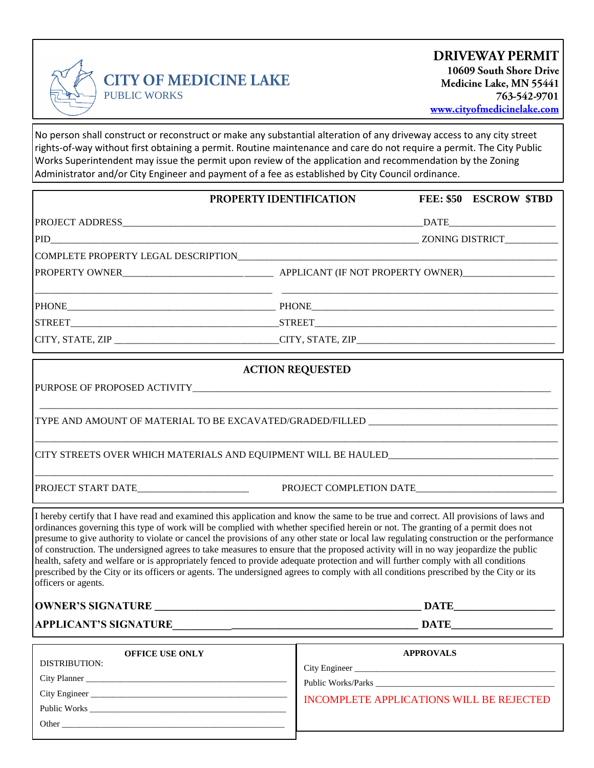

No person shall construct or reconstruct or make any substantial alteration of any driveway access to any city street rights-of-way without first obtaining a permit. Routine maintenance and care do not require a permit. The City Public Works Superintendent may issue the permit upon review of the application and recommendation by the Zoning Administrator and/or City Engineer and payment of a fee as established by City Council ordinance.

| PROPERTY IDENTIFICATION                                                                                                                                                                                                                                                                                                                                                                                                                                                                                                                                                                                                                                                                                                                                                                                                                                      |  |                                                  | FEE: \$50 ESCROW \$TBD |  |
|--------------------------------------------------------------------------------------------------------------------------------------------------------------------------------------------------------------------------------------------------------------------------------------------------------------------------------------------------------------------------------------------------------------------------------------------------------------------------------------------------------------------------------------------------------------------------------------------------------------------------------------------------------------------------------------------------------------------------------------------------------------------------------------------------------------------------------------------------------------|--|--------------------------------------------------|------------------------|--|
|                                                                                                                                                                                                                                                                                                                                                                                                                                                                                                                                                                                                                                                                                                                                                                                                                                                              |  |                                                  |                        |  |
|                                                                                                                                                                                                                                                                                                                                                                                                                                                                                                                                                                                                                                                                                                                                                                                                                                                              |  |                                                  |                        |  |
|                                                                                                                                                                                                                                                                                                                                                                                                                                                                                                                                                                                                                                                                                                                                                                                                                                                              |  |                                                  |                        |  |
|                                                                                                                                                                                                                                                                                                                                                                                                                                                                                                                                                                                                                                                                                                                                                                                                                                                              |  |                                                  |                        |  |
|                                                                                                                                                                                                                                                                                                                                                                                                                                                                                                                                                                                                                                                                                                                                                                                                                                                              |  |                                                  |                        |  |
|                                                                                                                                                                                                                                                                                                                                                                                                                                                                                                                                                                                                                                                                                                                                                                                                                                                              |  |                                                  |                        |  |
|                                                                                                                                                                                                                                                                                                                                                                                                                                                                                                                                                                                                                                                                                                                                                                                                                                                              |  | the control of the control of the control of the |                        |  |
| TYPE AND AMOUNT OF MATERIAL TO BE EXCAVATED/GRADED/FILLED _______________________                                                                                                                                                                                                                                                                                                                                                                                                                                                                                                                                                                                                                                                                                                                                                                            |  |                                                  |                        |  |
| I hereby certify that I have read and examined this application and know the same to be true and correct. All provisions of laws and<br>ordinances governing this type of work will be complied with whether specified herein or not. The granting of a permit does not<br>presume to give authority to violate or cancel the provisions of any other state or local law regulating construction or the performance<br>of construction. The undersigned agrees to take measures to ensure that the proposed activity will in no way jeopardize the public<br>health, safety and welfare or is appropriately fenced to provide adequate protection and will further comply with all conditions<br>prescribed by the City or its officers or agents. The undersigned agrees to comply with all conditions prescribed by the City or its<br>officers or agents. |  |                                                  |                        |  |
|                                                                                                                                                                                                                                                                                                                                                                                                                                                                                                                                                                                                                                                                                                                                                                                                                                                              |  | <b>DATE</b>                                      |                        |  |
|                                                                                                                                                                                                                                                                                                                                                                                                                                                                                                                                                                                                                                                                                                                                                                                                                                                              |  |                                                  |                        |  |
| <b>OFFICE USE ONLY</b><br><b>DISTRIBITION</b>                                                                                                                                                                                                                                                                                                                                                                                                                                                                                                                                                                                                                                                                                                                                                                                                                |  |                                                  | <b>APPROVALS</b>       |  |

| <b>APPROVALS</b>                         |
|------------------------------------------|
|                                          |
|                                          |
| INCOMPLETE APPLICATIONS WILL BE REJECTED |
|                                          |
|                                          |
|                                          |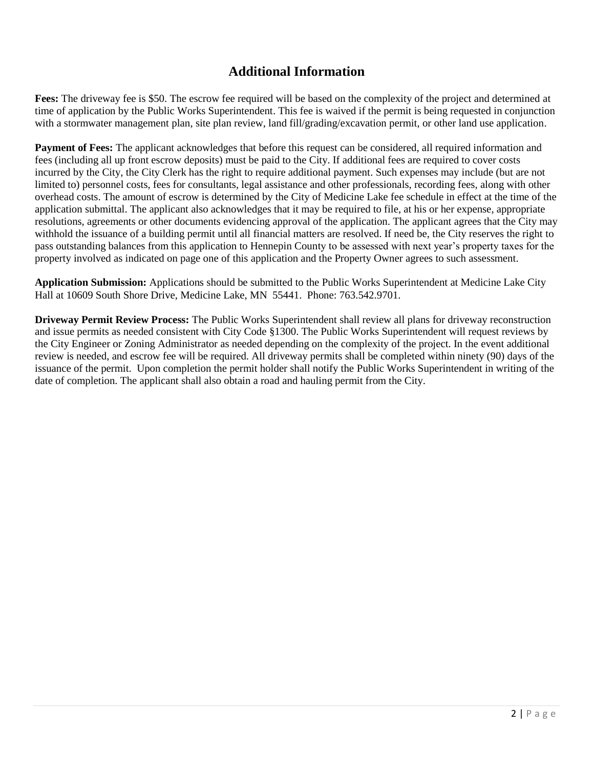## **Additional Information**

**Fees:** The driveway fee is \$50. The escrow fee required will be based on the complexity of the project and determined at time of application by the Public Works Superintendent. This fee is waived if the permit is being requested in conjunction with a stormwater management plan, site plan review, land fill/grading/excavation permit, or other land use application.

**Payment of Fees:** The applicant acknowledges that before this request can be considered, all required information and fees (including all up front escrow deposits) must be paid to the City. If additional fees are required to cover costs incurred by the City, the City Clerk has the right to require additional payment. Such expenses may include (but are not limited to) personnel costs, fees for consultants, legal assistance and other professionals, recording fees, along with other overhead costs. The amount of escrow is determined by the City of Medicine Lake fee schedule in effect at the time of the application submittal. The applicant also acknowledges that it may be required to file, at his or her expense, appropriate resolutions, agreements or other documents evidencing approval of the application. The applicant agrees that the City may withhold the issuance of a building permit until all financial matters are resolved. If need be, the City reserves the right to pass outstanding balances from this application to Hennepin County to be assessed with next year's property taxes for the property involved as indicated on page one of this application and the Property Owner agrees to such assessment.

**Application Submission:** Applications should be submitted to the Public Works Superintendent at Medicine Lake City Hall at 10609 South Shore Drive, Medicine Lake, MN 55441. Phone: 763.542.9701.

**Driveway Permit Review Process:** The Public Works Superintendent shall review all plans for driveway reconstruction and issue permits as needed consistent with City Code §1300. The Public Works Superintendent will request reviews by the City Engineer or Zoning Administrator as needed depending on the complexity of the project. In the event additional review is needed, and escrow fee will be required. All driveway permits shall be completed within ninety (90) days of the issuance of the permit. Upon completion the permit holder shall notify the Public Works Superintendent in writing of the date of completion. The applicant shall also obtain a road and hauling permit from the City.